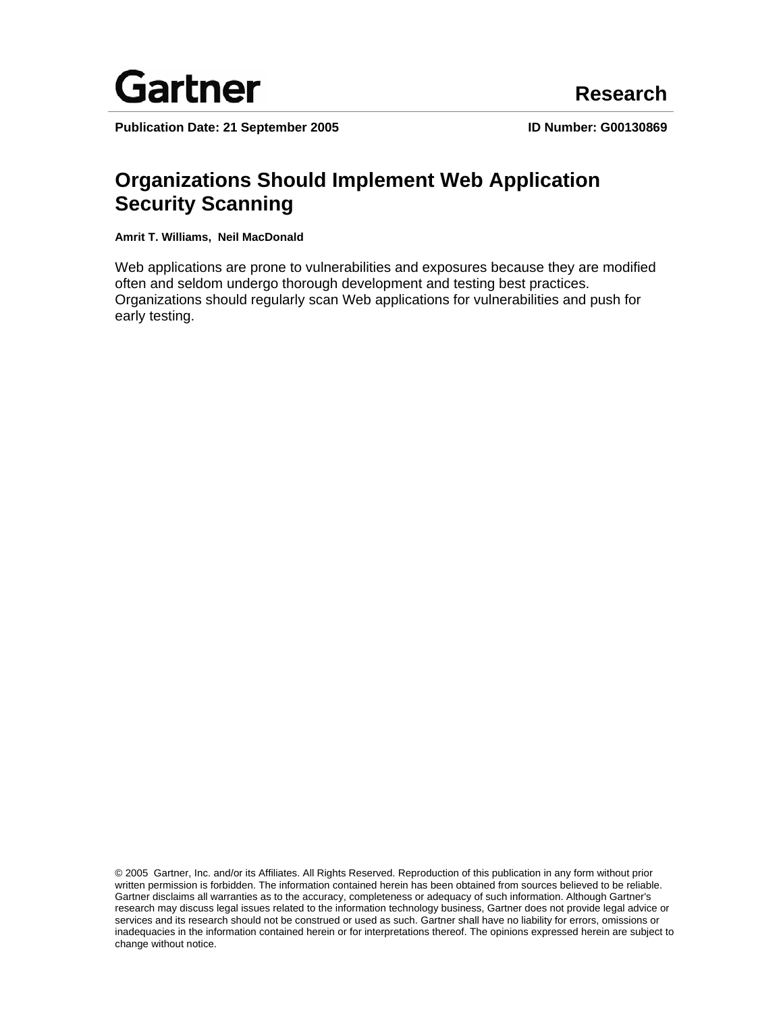

Publication Date: 21 September 2005 **ID Number: G00130869** 

# **Organizations Should Implement Web Application Security Scanning**

**Amrit T. Williams, Neil MacDonald** 

Web applications are prone to vulnerabilities and exposures because they are modified often and seldom undergo thorough development and testing best practices. Organizations should regularly scan Web applications for vulnerabilities and push for early testing.

© 2005 Gartner, Inc. and/or its Affiliates. All Rights Reserved. Reproduction of this publication in any form without prior written permission is forbidden. The information contained herein has been obtained from sources believed to be reliable. Gartner disclaims all warranties as to the accuracy, completeness or adequacy of such information. Although Gartner's research may discuss legal issues related to the information technology business, Gartner does not provide legal advice or services and its research should not be construed or used as such. Gartner shall have no liability for errors, omissions or inadequacies in the information contained herein or for interpretations thereof. The opinions expressed herein are subject to change without notice.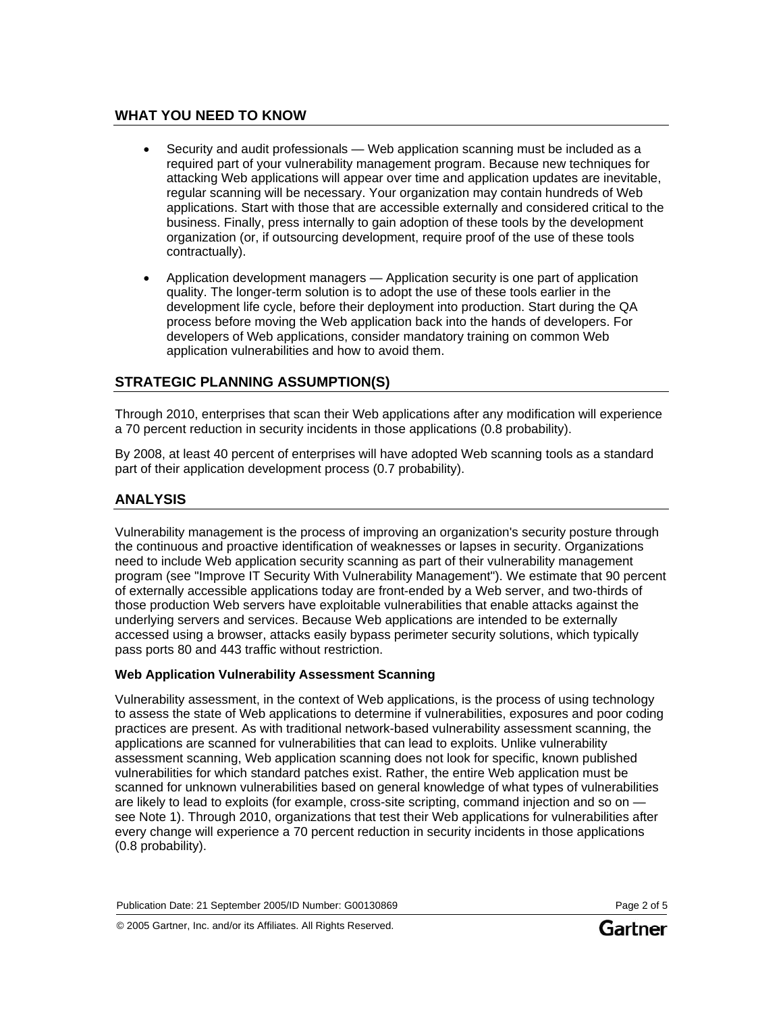# **WHAT YOU NEED TO KNOW**

- Security and audit professionals Web application scanning must be included as a required part of your vulnerability management program. Because new techniques for attacking Web applications will appear over time and application updates are inevitable, regular scanning will be necessary. Your organization may contain hundreds of Web applications. Start with those that are accessible externally and considered critical to the business. Finally, press internally to gain adoption of these tools by the development organization (or, if outsourcing development, require proof of the use of these tools contractually).
- Application development managers Application security is one part of application quality. The longer-term solution is to adopt the use of these tools earlier in the development life cycle, before their deployment into production. Start during the QA process before moving the Web application back into the hands of developers. For developers of Web applications, consider mandatory training on common Web application vulnerabilities and how to avoid them.

# **STRATEGIC PLANNING ASSUMPTION(S)**

Through 2010, enterprises that scan their Web applications after any modification will experience a 70 percent reduction in security incidents in those applications (0.8 probability).

By 2008, at least 40 percent of enterprises will have adopted Web scanning tools as a standard part of their application development process (0.7 probability).

# **ANALYSIS**

Vulnerability management is the process of improving an organization's security posture through the continuous and proactive identification of weaknesses or lapses in security. Organizations need to include Web application security scanning as part of their vulnerability management program (see "Improve IT Security With Vulnerability Management"). We estimate that 90 percent of externally accessible applications today are front-ended by a Web server, and two-thirds of those production Web servers have exploitable vulnerabilities that enable attacks against the underlying servers and services. Because Web applications are intended to be externally accessed using a browser, attacks easily bypass perimeter security solutions, which typically pass ports 80 and 443 traffic without restriction.

# **Web Application Vulnerability Assessment Scanning**

Vulnerability assessment, in the context of Web applications, is the process of using technology to assess the state of Web applications to determine if vulnerabilities, exposures and poor coding practices are present. As with traditional network-based vulnerability assessment scanning, the applications are scanned for vulnerabilities that can lead to exploits. Unlike vulnerability assessment scanning, Web application scanning does not look for specific, known published vulnerabilities for which standard patches exist. Rather, the entire Web application must be scanned for unknown vulnerabilities based on general knowledge of what types of vulnerabilities are likely to lead to exploits (for example, cross-site scripting, command injection and so on see Note 1). Through 2010, organizations that test their Web applications for vulnerabilities after every change will experience a 70 percent reduction in security incidents in those applications (0.8 probability).

Publication Date: 21 September 2005/ID Number: G00130869 Page 2 of 5

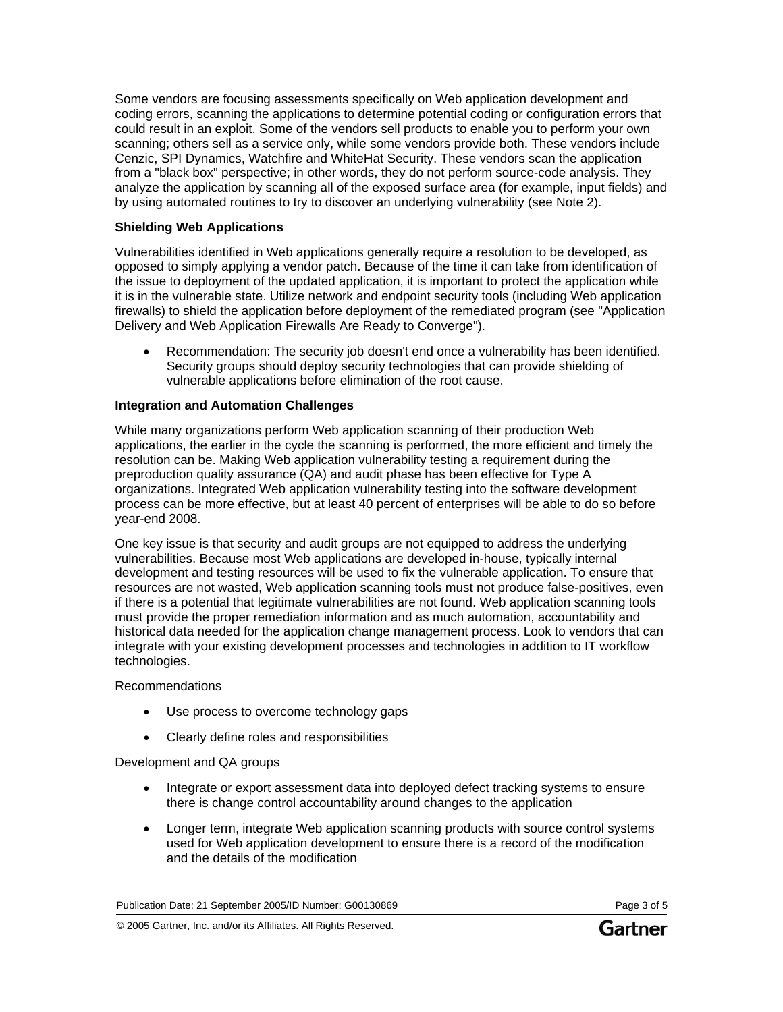Some vendors are focusing assessments specifically on Web application development and coding errors, scanning the applications to determine potential coding or configuration errors that could result in an exploit. Some of the vendors sell products to enable you to perform your own scanning; others sell as a service only, while some vendors provide both. These vendors include Cenzic, SPI Dynamics, Watchfire and WhiteHat Security. These vendors scan the application from a "black box" perspective; in other words, they do not perform source-code analysis. They analyze the application by scanning all of the exposed surface area (for example, input fields) and by using automated routines to try to discover an underlying vulnerability (see Note 2).

### **Shielding Web Applications**

Vulnerabilities identified in Web applications generally require a resolution to be developed, as opposed to simply applying a vendor patch. Because of the time it can take from identification of the issue to deployment of the updated application, it is important to protect the application while it is in the vulnerable state. Utilize network and endpoint security tools (including Web application firewalls) to shield the application before deployment of the remediated program (see "Application Delivery and Web Application Firewalls Are Ready to Converge").

• Recommendation: The security job doesn't end once a vulnerability has been identified. Security groups should deploy security technologies that can provide shielding of vulnerable applications before elimination of the root cause.

### **Integration and Automation Challenges**

While many organizations perform Web application scanning of their production Web applications, the earlier in the cycle the scanning is performed, the more efficient and timely the resolution can be. Making Web application vulnerability testing a requirement during the preproduction quality assurance (QA) and audit phase has been effective for Type A organizations. Integrated Web application vulnerability testing into the software development process can be more effective, but at least 40 percent of enterprises will be able to do so before year-end 2008.

One key issue is that security and audit groups are not equipped to address the underlying vulnerabilities. Because most Web applications are developed in-house, typically internal development and testing resources will be used to fix the vulnerable application. To ensure that resources are not wasted, Web application scanning tools must not produce false-positives, even if there is a potential that legitimate vulnerabilities are not found. Web application scanning tools must provide the proper remediation information and as much automation, accountability and historical data needed for the application change management process. Look to vendors that can integrate with your existing development processes and technologies in addition to IT workflow technologies.

### Recommendations

- Use process to overcome technology gaps
- Clearly define roles and responsibilities

### Development and QA groups

- Integrate or export assessment data into deployed defect tracking systems to ensure there is change control accountability around changes to the application
- Longer term, integrate Web application scanning products with source control systems used for Web application development to ensure there is a record of the modification and the details of the modification

Publication Date: 21 September 2005/ID Number: G00130869 Page 3 of 5

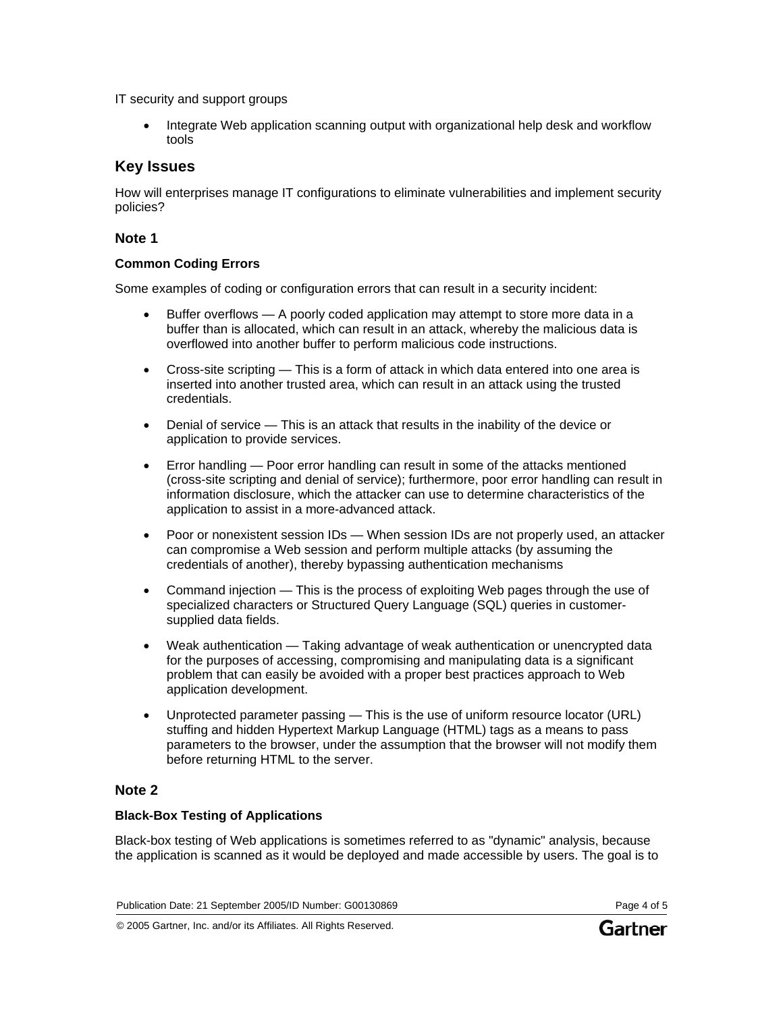IT security and support groups

• Integrate Web application scanning output with organizational help desk and workflow tools

# **Key Issues**

How will enterprises manage IT configurations to eliminate vulnerabilities and implement security policies?

#### **Note 1**

#### **Common Coding Errors**

Some examples of coding or configuration errors that can result in a security incident:

- Buffer overflows A poorly coded application may attempt to store more data in a buffer than is allocated, which can result in an attack, whereby the malicious data is overflowed into another buffer to perform malicious code instructions.
- Cross-site scripting This is a form of attack in which data entered into one area is inserted into another trusted area, which can result in an attack using the trusted credentials.
- Denial of service This is an attack that results in the inability of the device or application to provide services.
- Error handling Poor error handling can result in some of the attacks mentioned (cross-site scripting and denial of service); furthermore, poor error handling can result in information disclosure, which the attacker can use to determine characteristics of the application to assist in a more-advanced attack.
- Poor or nonexistent session IDs When session IDs are not properly used, an attacker can compromise a Web session and perform multiple attacks (by assuming the credentials of another), thereby bypassing authentication mechanisms
- Command injection This is the process of exploiting Web pages through the use of specialized characters or Structured Query Language (SQL) queries in customersupplied data fields.
- Weak authentication Taking advantage of weak authentication or unencrypted data for the purposes of accessing, compromising and manipulating data is a significant problem that can easily be avoided with a proper best practices approach to Web application development.
- Unprotected parameter passing This is the use of uniform resource locator (URL) stuffing and hidden Hypertext Markup Language (HTML) tags as a means to pass parameters to the browser, under the assumption that the browser will not modify them before returning HTML to the server.

### **Note 2**

### **Black-Box Testing of Applications**

Black-box testing of Web applications is sometimes referred to as "dynamic" analysis, because the application is scanned as it would be deployed and made accessible by users. The goal is to

© 2005 Gartner, Inc. and/or its Affiliates. All Rights Reserved.